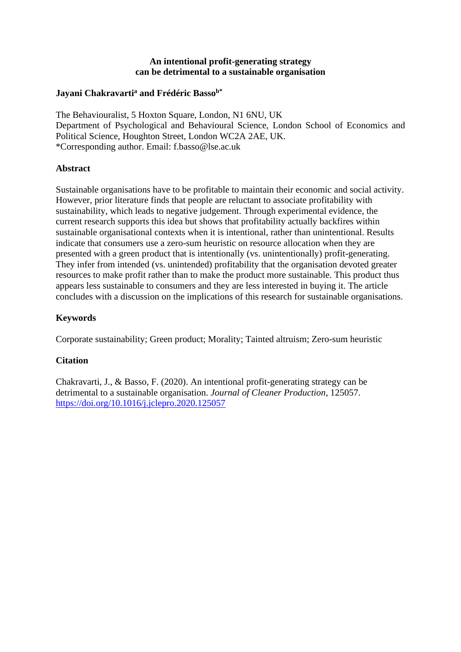## **An intentional profit-generating strategy can be detrimental to a sustainable organisation**

# **Jayani Chakravarti<sup>a</sup> and Frédéric Bassob\***

The Behaviouralist, 5 Hoxton Square, London, N1 6NU, UK Department of Psychological and Behavioural Science, London School of Economics and Political Science, Houghton Street, London WC2A 2AE, UK. \*Corresponding author. Email: f.basso@lse.ac.uk

# **Abstract**

Sustainable organisations have to be profitable to maintain their economic and social activity. However, prior literature finds that people are reluctant to associate profitability with sustainability, which leads to negative judgement. Through experimental evidence, the current research supports this idea but shows that profitability actually backfires within sustainable organisational contexts when it is intentional, rather than unintentional. Results indicate that consumers use a zero-sum heuristic on resource allocation when they are presented with a green product that is intentionally (vs. unintentionally) profit-generating. They infer from intended (vs. unintended) profitability that the organisation devoted greater resources to make profit rather than to make the product more sustainable. This product thus appears less sustainable to consumers and they are less interested in buying it. The article concludes with a discussion on the implications of this research for sustainable organisations.

# **Keywords**

Corporate sustainability; Green product; Morality; Tainted altruism; Zero-sum heuristic

# **Citation**

Chakravarti, J., & Basso, F. (2020). An intentional profit-generating strategy can be detrimental to a sustainable organisation. *Journal of Cleaner Production*, 125057. <https://doi.org/10.1016/j.jclepro.2020.125057>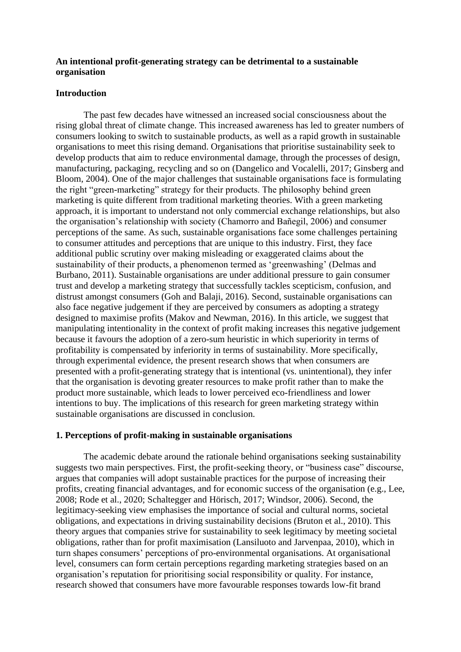### **An intentional profit-generating strategy can be detrimental to a sustainable organisation**

### **Introduction**

The past few decades have witnessed an increased social consciousness about the rising global threat of climate change. This increased awareness has led to greater numbers of consumers looking to switch to sustainable products, as well as a rapid growth in sustainable organisations to meet this rising demand. Organisations that prioritise sustainability seek to develop products that aim to reduce environmental damage, through the processes of design, manufacturing, packaging, recycling and so on (Dangelico and Vocalelli, 2017; Ginsberg and Bloom, 2004). One of the major challenges that sustainable organisations face is formulating the right "green-marketing" strategy for their products. The philosophy behind green marketing is quite different from traditional marketing theories. With a green marketing approach, it is important to understand not only commercial exchange relationships, but also the organisation's relationship with society (Chamorro and Bañegil, 2006) and consumer perceptions of the same. As such, sustainable organisations face some challenges pertaining to consumer attitudes and perceptions that are unique to this industry. First, they face additional public scrutiny over making misleading or exaggerated claims about the sustainability of their products, a phenomenon termed as 'greenwashing' (Delmas and Burbano, 2011). Sustainable organisations are under additional pressure to gain consumer trust and develop a marketing strategy that successfully tackles scepticism, confusion, and distrust amongst consumers (Goh and Balaji, 2016). Second, sustainable organisations can also face negative judgement if they are perceived by consumers as adopting a strategy designed to maximise profits (Makov and Newman, 2016). In this article, we suggest that manipulating intentionality in the context of profit making increases this negative judgement because it favours the adoption of a zero-sum heuristic in which superiority in terms of profitability is compensated by inferiority in terms of sustainability. More specifically, through experimental evidence, the present research shows that when consumers are presented with a profit-generating strategy that is intentional (vs. unintentional), they infer that the organisation is devoting greater resources to make profit rather than to make the product more sustainable, which leads to lower perceived eco-friendliness and lower intentions to buy. The implications of this research for green marketing strategy within sustainable organisations are discussed in conclusion.

#### **1. Perceptions of profit-making in sustainable organisations**

The academic debate around the rationale behind organisations seeking sustainability suggests two main perspectives. First, the profit-seeking theory, or "business case" discourse, argues that companies will adopt sustainable practices for the purpose of increasing their profits, creating financial advantages, and for economic success of the organisation (e.g., Lee, 2008; Rode et al., 2020; Schaltegger and Hörisch, 2017; Windsor, 2006). Second, the legitimacy-seeking view emphasises the importance of social and cultural norms, societal obligations, and expectations in driving sustainability decisions (Bruton et al., 2010). This theory argues that companies strive for sustainability to seek legitimacy by meeting societal obligations, rather than for profit maximisation (Lansiluoto and Jarvenpaa, 2010), which in turn shapes consumers' perceptions of pro-environmental organisations. At organisational level, consumers can form certain perceptions regarding marketing strategies based on an organisation's reputation for prioritising social responsibility or quality. For instance, research showed that consumers have more favourable responses towards low-fit brand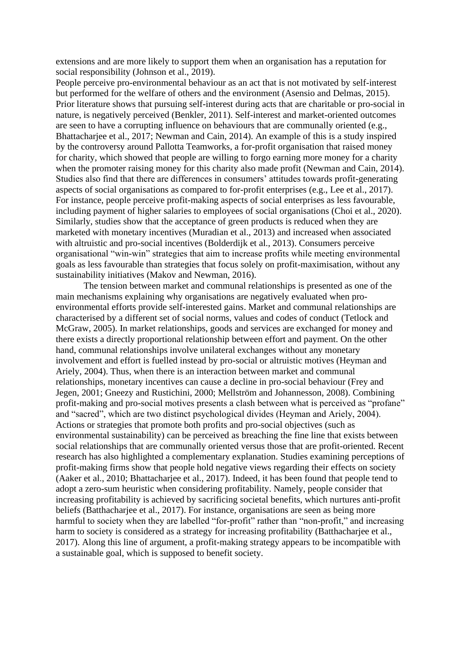extensions and are more likely to support them when an organisation has a reputation for social responsibility (Johnson et al., 2019).

People perceive pro-environmental behaviour as an act that is not motivated by self-interest but performed for the welfare of others and the environment (Asensio and Delmas, 2015). Prior literature shows that pursuing self-interest during acts that are charitable or pro-social in nature, is negatively perceived (Benkler, 2011). Self-interest and market-oriented outcomes are seen to have a corrupting influence on behaviours that are communally oriented (e.g., Bhattacharjee et al., 2017; Newman and Cain, 2014). An example of this is a study inspired by the controversy around Pallotta Teamworks, a for-profit organisation that raised money for charity, which showed that people are willing to forgo earning more money for a charity when the promoter raising money for this charity also made profit (Newman and Cain, 2014). Studies also find that there are differences in consumers' attitudes towards profit-generating aspects of social organisations as compared to for-profit enterprises (e.g., Lee et al., 2017). For instance, people perceive profit-making aspects of social enterprises as less favourable, including payment of higher salaries to employees of social organisations (Choi et al., 2020). Similarly, studies show that the acceptance of green products is reduced when they are marketed with monetary incentives (Muradian et al., 2013) and increased when associated with altruistic and pro-social incentives (Bolderdijk et al., 2013). Consumers perceive organisational "win-win" strategies that aim to increase profits while meeting environmental goals as less favourable than strategies that focus solely on profit-maximisation, without any sustainability initiatives (Makov and Newman, 2016).

The tension between market and communal relationships is presented as one of the main mechanisms explaining why organisations are negatively evaluated when proenvironmental efforts provide self-interested gains. Market and communal relationships are characterised by a different set of social norms, values and codes of conduct (Tetlock and McGraw, 2005). In market relationships, goods and services are exchanged for money and there exists a directly proportional relationship between effort and payment. On the other hand, communal relationships involve unilateral exchanges without any monetary involvement and effort is fuelled instead by pro-social or altruistic motives (Heyman and Ariely, 2004). Thus, when there is an interaction between market and communal relationships, monetary incentives can cause a decline in pro-social behaviour (Frey and Jegen, 2001; Gneezy and Rustichini, 2000; Mellström and Johannesson, 2008). Combining profit-making and pro-social motives presents a clash between what is perceived as "profane" and "sacred", which are two distinct psychological divides (Heyman and Ariely, 2004). Actions or strategies that promote both profits and pro-social objectives (such as environmental sustainability) can be perceived as breaching the fine line that exists between social relationships that are communally oriented versus those that are profit-oriented. Recent research has also highlighted a complementary explanation. Studies examining perceptions of profit-making firms show that people hold negative views regarding their effects on society (Aaker et al., 2010; Bhattacharjee et al., 2017). Indeed, it has been found that people tend to adopt a zero-sum heuristic when considering profitability. Namely, people consider that increasing profitability is achieved by sacrificing societal benefits, which nurtures anti-profit beliefs (Batthacharjee et al., 2017). For instance, organisations are seen as being more harmful to society when they are labelled "for-profit" rather than "non-profit," and increasing harm to society is considered as a strategy for increasing profitability (Batthacharjee et al., 2017). Along this line of argument, a profit-making strategy appears to be incompatible with a sustainable goal, which is supposed to benefit society.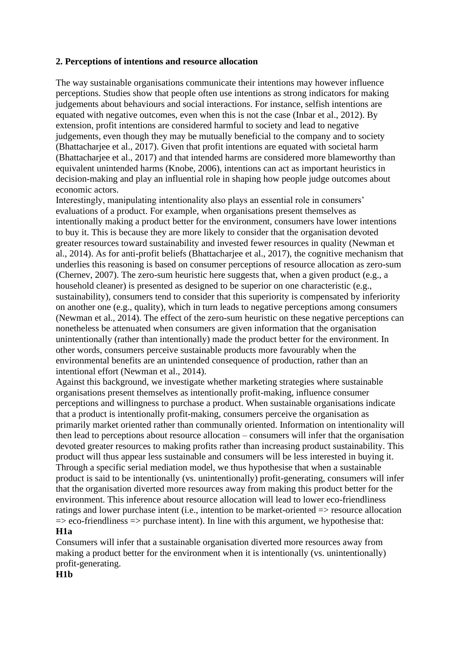# **2. Perceptions of intentions and resource allocation**

The way sustainable organisations communicate their intentions may however influence perceptions. Studies show that people often use intentions as strong indicators for making judgements about behaviours and social interactions. For instance, selfish intentions are equated with negative outcomes, even when this is not the case (Inbar et al., 2012). By extension, profit intentions are considered harmful to society and lead to negative judgements, even though they may be mutually beneficial to the company and to society (Bhattacharjee et al., 2017). Given that profit intentions are equated with societal harm (Bhattacharjee et al., 2017) and that intended harms are considered more blameworthy than equivalent unintended harms (Knobe, 2006), intentions can act as important heuristics in decision-making and play an influential role in shaping how people judge outcomes about economic actors.

Interestingly, manipulating intentionality also plays an essential role in consumers' evaluations of a product. For example, when organisations present themselves as intentionally making a product better for the environment, consumers have lower intentions to buy it. This is because they are more likely to consider that the organisation devoted greater resources toward sustainability and invested fewer resources in quality (Newman et al., 2014). As for anti-profit beliefs (Bhattacharjee et al., 2017), the cognitive mechanism that underlies this reasoning is based on consumer perceptions of resource allocation as zero-sum (Chernev, 2007). The zero-sum heuristic here suggests that, when a given product (e.g., a household cleaner) is presented as designed to be superior on one characteristic (e.g., sustainability), consumers tend to consider that this superiority is compensated by inferiority on another one (e.g., quality), which in turn leads to negative perceptions among consumers (Newman et al., 2014). The effect of the zero-sum heuristic on these negative perceptions can nonetheless be attenuated when consumers are given information that the organisation unintentionally (rather than intentionally) made the product better for the environment. In other words, consumers perceive sustainable products more favourably when the environmental benefits are an unintended consequence of production, rather than an intentional effort (Newman et al., 2014).

Against this background, we investigate whether marketing strategies where sustainable organisations present themselves as intentionally profit-making, influence consumer perceptions and willingness to purchase a product. When sustainable organisations indicate that a product is intentionally profit-making, consumers perceive the organisation as primarily market oriented rather than communally oriented. Information on intentionality will then lead to perceptions about resource allocation – consumers will infer that the organisation devoted greater resources to making profits rather than increasing product sustainability. This product will thus appear less sustainable and consumers will be less interested in buying it. Through a specific serial mediation model, we thus hypothesise that when a sustainable product is said to be intentionally (vs. unintentionally) profit-generating, consumers will infer that the organisation diverted more resources away from making this product better for the environment. This inference about resource allocation will lead to lower eco-friendliness ratings and lower purchase intent (i.e., intention to be market-oriented => resource allocation  $\Rightarrow$  eco-friendliness  $\Rightarrow$  purchase intent). In line with this argument, we hypothesise that: **H1a**

Consumers will infer that a sustainable organisation diverted more resources away from making a product better for the environment when it is intentionally (vs. unintentionally) profit-generating.

#### **H1b**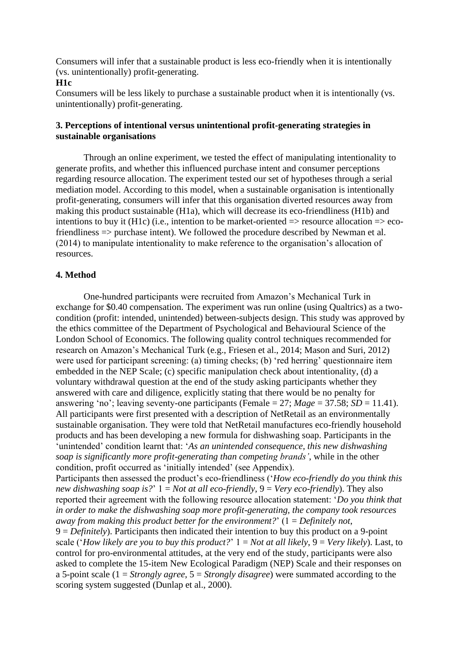Consumers will infer that a sustainable product is less eco-friendly when it is intentionally (vs. unintentionally) profit-generating.

### **H1c**

Consumers will be less likely to purchase a sustainable product when it is intentionally (vs. unintentionally) profit-generating.

## **3. Perceptions of intentional versus unintentional profit-generating strategies in sustainable organisations**

Through an online experiment, we tested the effect of manipulating intentionality to generate profits, and whether this influenced purchase intent and consumer perceptions regarding resource allocation. The experiment tested our set of hypotheses through a serial mediation model. According to this model, when a sustainable organisation is intentionally profit-generating, consumers will infer that this organisation diverted resources away from making this product sustainable (H1a), which will decrease its eco-friendliness (H1b) and intentions to buy it (H1c) (i.e., intention to be market-oriented  $\Rightarrow$  resource allocation  $\Rightarrow$  ecofriendliness => purchase intent). We followed the procedure described by Newman et al. (2014) to manipulate intentionality to make reference to the organisation's allocation of resources.

## **4. Method**

One-hundred participants were recruited from Amazon's Mechanical Turk in exchange for \$0.40 compensation. The experiment was run online (using Qualtrics) as a twocondition (profit: intended, unintended) between-subjects design. This study was approved by the ethics committee of the Department of Psychological and Behavioural Science of the London School of Economics. The following quality control techniques recommended for research on Amazon's Mechanical Turk (e.g., Friesen et al., 2014; Mason and Suri, 2012) were used for participant screening: (a) timing checks; (b) 'red herring' questionnaire item embedded in the NEP Scale; (c) specific manipulation check about intentionality, (d) a voluntary withdrawal question at the end of the study asking participants whether they answered with care and diligence, explicitly stating that there would be no penalty for answering 'no'; leaving seventy-one participants (Female = 27; *Mage* = 37.58; *SD* = 11.41). All participants were first presented with a description of NetRetail as an environmentally sustainable organisation. They were told that NetRetail manufactures eco-friendly household products and has been developing a new formula for dishwashing soap. Participants in the 'unintended' condition learnt that: '*As an unintended consequence, this new dishwashing soap is significantly more profit-generating than competing brands'*, while in the other condition, profit occurred as 'initially intended' (see Appendix). Participants then assessed the product's eco-friendliness ('*How eco-friendly do you think this new dishwashing soap is?*' 1 = *Not at all eco-friendly*, 9 = *Very eco-friendly*). They also reported their agreement with the following resource allocation statement: '*Do you think that in order to make the dishwashing soap more profit-generating, the company took resources away from making this product better for the environment?*' (1 = *Definitely not*, 9 = *Definitely*). Participants then indicated their intention to buy this product on a 9-point scale ('*How likely are you to buy this product?*' 1 = *Not at all likely*, 9 = *Very likely*). Last, to control for pro-environmental attitudes, at the very end of the study, participants were also asked to complete the 15-item New Ecological Paradigm (NEP) Scale and their responses on a 5-point scale (1 = *Strongly agree*, 5 = *Strongly disagree*) were summated according to the scoring system suggested (Dunlap et al., 2000).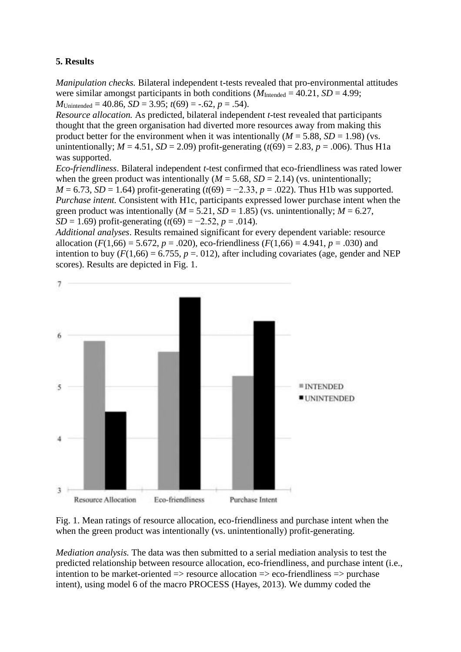# **5. Results**

*Manipulation checks.* Bilateral independent t-tests revealed that pro-environmental attitudes were similar amongst participants in both conditions  $(M_{\text{Intended}} = 40.21, SD = 4.99)$ ; *M*Unintended = 40.86, *SD* = 3.95;  $t(69)$  = -.62,  $p = .54$ ).

*Resource allocation.* As predicted, bilateral independent *t*-test revealed that participants thought that the green organisation had diverted more resources away from making this product better for the environment when it was intentionally  $(M = 5.88, SD = 1.98)$  (vs. unintentionally;  $M = 4.51$ ,  $SD = 2.09$ ) profit-generating ( $t(69) = 2.83$ ,  $p = .006$ ). Thus H1a was supported.

*Eco-friendliness*. Bilateral independent *t*-test confirmed that eco-friendliness was rated lower when the green product was intentionally  $(M = 5.68, SD = 2.14)$  (vs. unintentionally; *M* = 6.73, *SD* = 1.64) profit-generating  $(t(69) = -2.33, p = .022)$ . Thus H1b was supported. *Purchase intent.* Consistent with H1c, participants expressed lower purchase intent when the green product was intentionally ( $M = 5.21$ ,  $SD = 1.85$ ) (vs. unintentionally;  $M = 6.27$ , *SD* = 1.69) profit-generating ( $t(69) = -2.52$ ,  $p = .014$ ).

*Additional analyses*. Results remained significant for every dependent variable: resource allocation ( $F(1,66) = 5.672$ ,  $p = .020$ ), eco-friendliness ( $F(1,66) = 4.941$ ,  $p = .030$ ) and intention to buy  $(F(1,66) = 6.755, p = .012)$ , after including covariates (age, gender and NEP scores). Results are depicted in Fig. 1.



Fig. 1. Mean ratings of resource allocation, eco-friendliness and purchase intent when the when the green product was intentionally (vs. unintentionally) profit-generating.

*Mediation analysis.* The data was then submitted to a serial mediation analysis to test the predicted relationship between resource allocation, eco-friendliness, and purchase intent (i.e., intention to be market-oriented => resource allocation => eco-friendliness => purchase intent), using model 6 of the macro PROCESS (Hayes, 2013). We dummy coded the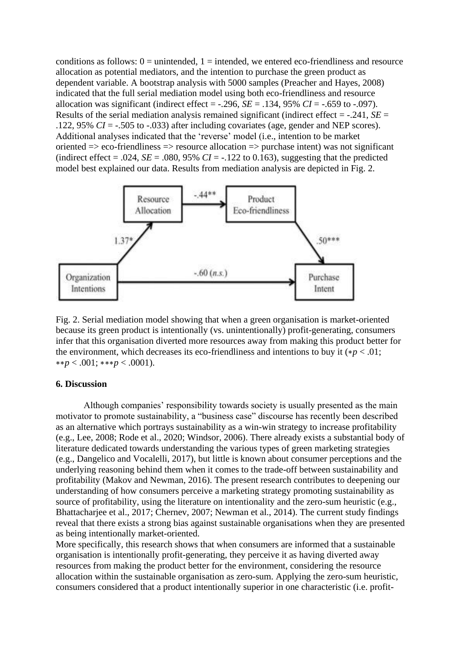conditions as follows:  $0 =$  unintended,  $1 =$  intended, we entered eco-friendliness and resource allocation as potential mediators, and the intention to purchase the green product as dependent variable. A bootstrap analysis with 5000 samples (Preacher and Hayes, 2008) indicated that the full serial mediation model using both eco-friendliness and resource allocation was significant (indirect effect =  $-.296$ , *SE* =  $.134$ , 95% *CI* =  $-.659$  to  $-.097$ ). Results of the serial mediation analysis remained significant (indirect effect = -.241, *SE* = .122, 95%  $CI = -0.505$  to  $-0.033$ ) after including covariates (age, gender and NEP scores). Additional analyses indicated that the 'reverse' model (i.e., intention to be market oriented => eco-friendliness => resource allocation => purchase intent) was not significant (indirect effect = .024,  $SE = .080$ , 95%  $CI = -.122$  to 0.163), suggesting that the predicted model best explained our data. Results from mediation analysis are depicted in [Fig.](https://www.sciencedirect.com/science/article/pii/S0959652620351015?casa_token=c8rDICaooxIAAAAA:Y6_CgbCiLB-ZMH_9qXcgqGt5K9lDXNh2iHs1rz7Nm5D30YRQfSj-eK15_h_ew-cGHIJOtLk9n5o#fig2) 2.



Fig. 2. Serial mediation model showing that when a green organisation is market-oriented because its green product is intentionally (vs. unintentionally) profit-generating, consumers infer that this organisation diverted more resources away from making this product better for the environment, which decreases its eco-friendliness and intentions to buy it  $(*p < .01;$ ∗∗*p* < .001; ∗∗∗*p* < .0001).

### **6. Discussion**

Although companies' responsibility towards society is usually presented as the main motivator to promote sustainability, a "business case" discourse has recently been described as an alternative which portrays sustainability as a win-win strategy to increase profitability (e.g., Lee, 2008; Rode et al., 2020; Windsor, 2006). There already exists a substantial body of literature dedicated towards understanding the various types of green marketing strategies (e.g., Dangelico and Vocalelli, 2017), but little is known about consumer perceptions and the underlying reasoning behind them when it comes to the trade-off between sustainability and profitability (Makov and Newman, 2016). The present research contributes to deepening our understanding of how consumers perceive a marketing strategy promoting sustainability as source of profitability, using the literature on intentionality and the zero-sum heuristic (e.g., Bhattacharjee et al., 2017; Chernev, 2007; Newman et al., 2014). The current study findings reveal that there exists a strong bias against sustainable organisations when they are presented as being intentionally market-oriented.

More specifically, this research shows that when consumers are informed that a sustainable organisation is intentionally profit-generating, they perceive it as having diverted away resources from making the product better for the environment, considering the resource allocation within the sustainable organisation as zero-sum. Applying the zero-sum heuristic, consumers considered that a product intentionally superior in one characteristic (i.e. profit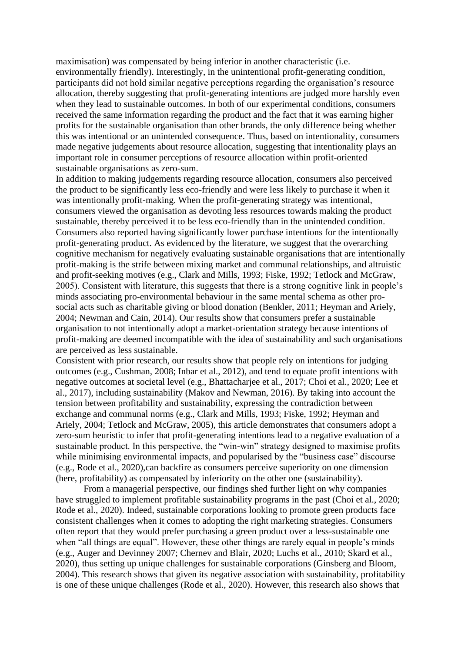maximisation) was compensated by being inferior in another characteristic (i.e. environmentally friendly). Interestingly, in the unintentional profit-generating condition, participants did not hold similar negative perceptions regarding the organisation's resource allocation, thereby suggesting that profit-generating intentions are judged more harshly even when they lead to sustainable outcomes. In both of our experimental conditions, consumers received the same information regarding the product and the fact that it was earning higher profits for the sustainable organisation than other brands, the only difference being whether this was intentional or an unintended consequence. Thus, based on intentionality, consumers made negative judgements about resource allocation, suggesting that intentionality plays an important role in consumer perceptions of resource allocation within profit-oriented sustainable organisations as zero-sum.

In addition to making judgements regarding resource allocation, consumers also perceived the product to be significantly less eco-friendly and were less likely to purchase it when it was intentionally profit-making. When the profit-generating strategy was intentional, consumers viewed the organisation as devoting less resources towards making the product sustainable, thereby perceived it to be less eco-friendly than in the unintended condition. Consumers also reported having significantly lower purchase intentions for the intentionally profit-generating product. As evidenced by the literature, we suggest that the overarching cognitive mechanism for negatively evaluating sustainable organisations that are intentionally profit-making is the strife between mixing market and communal relationships, and altruistic and profit-seeking motives (e.g., Clark and Mills, 1993; Fiske, 1992; Tetlock and McGraw, 2005). Consistent with literature, this suggests that there is a strong cognitive link in people's minds associating pro-environmental behaviour in the same mental schema as other prosocial acts such as charitable giving or blood donation (Benkler, 2011; Heyman and Ariely, 2004; Newman and Cain, 2014). Our results show that consumers prefer a sustainable organisation to not intentionally adopt a market-orientation strategy because intentions of profit-making are deemed incompatible with the idea of sustainability and such organisations are perceived as less sustainable.

Consistent with prior research, our results show that people rely on intentions for judging outcomes (e.g., Cushman, 2008; Inbar et al., 2012), and tend to equate profit intentions with negative outcomes at societal level (e.g., Bhattacharjee et al., 2017; Choi et al., 2020; Lee et al., 2017), including sustainability (Makov and Newman, 2016). By taking into account the tension between profitability and sustainability, expressing the contradiction between exchange and communal norms (e.g., Clark and Mills, 1993; Fiske, 1992; Heyman and Ariely, 2004; Tetlock and McGraw, 2005), this article demonstrates that consumers adopt a zero-sum heuristic to infer that profit-generating intentions lead to a negative evaluation of a sustainable product. In this perspective, the "win-win" strategy designed to maximise profits while minimising environmental impacts, and popularised by the "business case" discourse (e.g., Rode et al., 2020),can backfire as consumers perceive superiority on one dimension (here, profitability) as compensated by inferiority on the other one (sustainability).

From a managerial perspective, our findings shed further light on why companies have struggled to implement profitable sustainability programs in the past (Choi et al., 2020; Rode et al., 2020). Indeed, sustainable corporations looking to promote green products face consistent challenges when it comes to adopting the right marketing strategies. Consumers often report that they would prefer purchasing a green product over a less-sustainable one when "all things are equal". However, these other things are rarely equal in people's minds (e.g., Auger and Devinney 2007; Chernev and Blair, 2020; Luchs et al., 2010; Skard et al., 2020), thus setting up unique challenges for sustainable corporations (Ginsberg and Bloom, 2004). This research shows that given its negative association with sustainability, profitability is one of these unique challenges (Rode et al., 2020). However, this research also shows that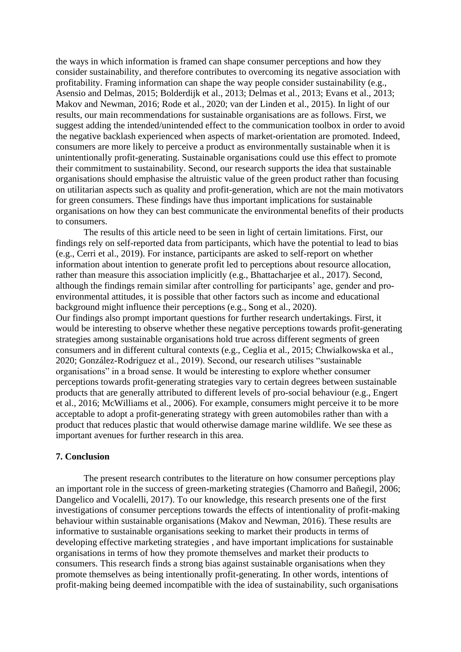the ways in which information is framed can shape consumer perceptions and how they consider sustainability, and therefore contributes to overcoming its negative association with profitability. Framing information can shape the way people consider sustainability (e.g., Asensio and Delmas, 2015; Bolderdijk et al., 2013; Delmas et al., 2013; Evans et al., 2013; Makov and Newman, 2016; Rode et al., 2020; van der Linden et al., 2015). In light of our results, our main recommendations for sustainable organisations are as follows. First, we suggest adding the intended/unintended effect to the communication toolbox in order to avoid the negative backlash experienced when aspects of market-orientation are promoted. Indeed, consumers are more likely to perceive a product as environmentally sustainable when it is unintentionally profit-generating. Sustainable organisations could use this effect to promote their commitment to sustainability. Second, our research supports the idea that sustainable organisations should emphasise the altruistic value of the green product rather than focusing on utilitarian aspects such as quality and profit-generation, which are not the main motivators for green consumers. These findings have thus important implications for sustainable organisations on how they can best communicate the environmental benefits of their products to consumers.

The results of this article need to be seen in light of certain limitations. First, our findings rely on self-reported data from participants, which have the potential to lead to bias (e.g., Cerri et al., 2019). For instance, participants are asked to self-report on whether information about intention to generate profit led to perceptions about resource allocation, rather than measure this association implicitly (e.g., Bhattacharjee et al., 2017). Second, although the findings remain similar after controlling for participants' age, gender and proenvironmental attitudes, it is possible that other factors such as income and educational background might influence their perceptions (e.g., Song et al., 2020). Our findings also prompt important questions for further research undertakings. First, it would be interesting to observe whether these negative perceptions towards profit-generating strategies among sustainable organisations hold true across different segments of green consumers and in different cultural contexts (e.g., Ceglia et al., 2015; Chwialkowska et al., 2020; González-Rodríguez et al., 2019). Second, our research utilises "sustainable organisations" in a broad sense. It would be interesting to explore whether consumer

perceptions towards profit-generating strategies vary to certain degrees between sustainable products that are generally attributed to different levels of pro-social behaviour (e.g., Engert et al., 2016; McWilliams et al., 2006). For example, consumers might perceive it to be more acceptable to adopt a profit-generating strategy with green automobiles rather than with a product that reduces plastic that would otherwise damage marine wildlife. We see these as important avenues for further research in this area.

### **7. Conclusion**

The present research contributes to the literature on how consumer perceptions play an important role in the success of green-marketing strategies (Chamorro and Bañegil, 2006; Dangelico and Vocalelli, 2017). To our knowledge, this research presents one of the first investigations of consumer perceptions towards the effects of intentionality of profit-making behaviour within sustainable organisations (Makov and Newman, 2016). These results are informative to sustainable organisations seeking to market their products in terms of developing effective marketing strategies , and have important implications for sustainable organisations in terms of how they promote themselves and market their products to consumers. This research finds a strong bias against sustainable organisations when they promote themselves as being intentionally profit-generating. In other words, intentions of profit-making being deemed incompatible with the idea of sustainability, such organisations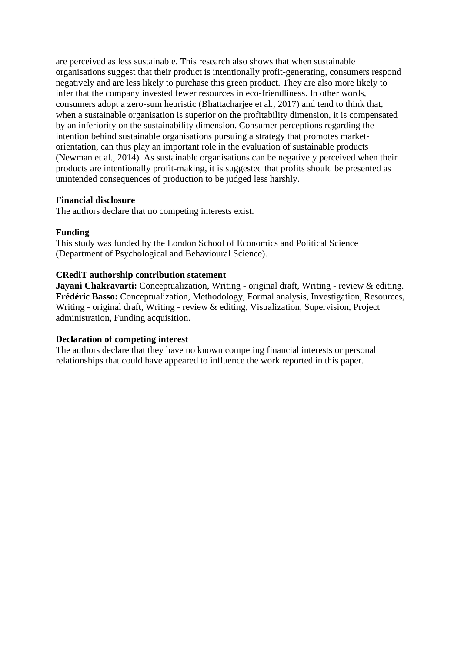are perceived as less sustainable. This research also shows that when sustainable organisations suggest that their product is intentionally profit-generating, consumers respond negatively and are less likely to purchase this green product. They are also more likely to infer that the company invested fewer resources in eco-friendliness. In other words, consumers adopt a zero-sum heuristic (Bhattacharjee et al., 2017) and tend to think that, when a sustainable organisation is superior on the profitability dimension, it is compensated by an inferiority on the sustainability dimension. Consumer perceptions regarding the intention behind sustainable organisations pursuing a strategy that promotes marketorientation, can thus play an important role in the evaluation of sustainable products (Newman et al., 2014). As sustainable organisations can be negatively perceived when their products are intentionally profit-making, it is suggested that profits should be presented as unintended consequences of production to be judged less harshly.

## **Financial disclosure**

The authors declare that no competing interests exist.

# **Funding**

This study was funded by the London School of Economics and Political Science (Department of Psychological and Behavioural Science).

# **CRediT authorship contribution statement**

**Jayani Chakravarti:** Conceptualization, Writing - original draft, Writing - review & editing. **Frédéric Basso:** Conceptualization, Methodology, Formal analysis, Investigation, Resources, Writing - original draft, Writing - review & editing, Visualization, Supervision, Project administration, Funding acquisition.

## **Declaration of competing interest**

The authors declare that they have no known competing financial interests or personal relationships that could have appeared to influence the work reported in this paper.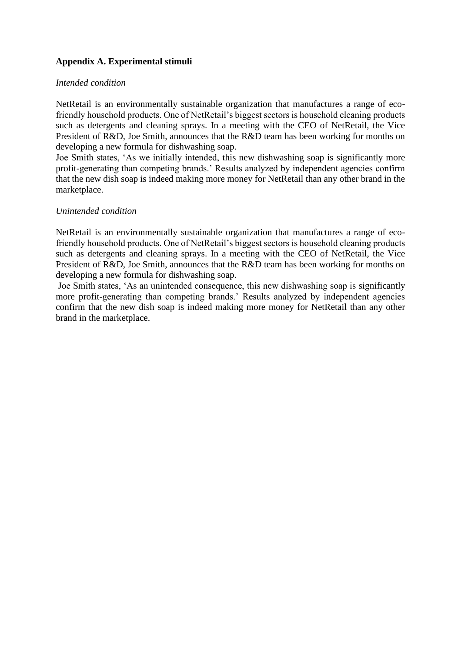# **Appendix A. Experimental stimuli**

### *Intended condition*

NetRetail is an environmentally sustainable organization that manufactures a range of ecofriendly household products. One of NetRetail's biggest sectors is household cleaning products such as detergents and cleaning sprays. In a meeting with the CEO of NetRetail, the Vice President of R&D, Joe Smith, announces that the R&D team has been working for months on developing a new formula for dishwashing soap.

Joe Smith states, 'As we initially intended, this new dishwashing soap is significantly more profit-generating than competing brands.' Results analyzed by independent agencies confirm that the new dish soap is indeed making more money for NetRetail than any other brand in the marketplace.

### *Unintended condition*

NetRetail is an environmentally sustainable organization that manufactures a range of ecofriendly household products. One of NetRetail's biggest sectors is household cleaning products such as detergents and cleaning sprays. In a meeting with the CEO of NetRetail, the Vice President of R&D, Joe Smith, announces that the R&D team has been working for months on developing a new formula for dishwashing soap.

Joe Smith states, 'As an unintended consequence, this new dishwashing soap is significantly more profit-generating than competing brands.' Results analyzed by independent agencies confirm that the new dish soap is indeed making more money for NetRetail than any other brand in the marketplace.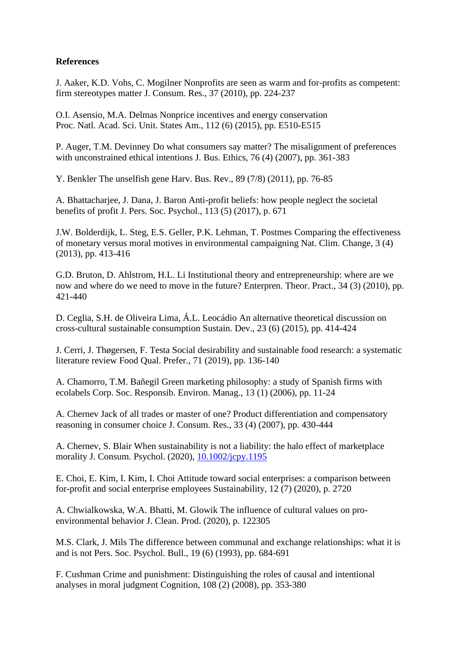# **References**

J. Aaker, K.D. Vohs, C. Mogilner Nonprofits are seen as warm and for-profits as competent: firm stereotypes matter J. Consum. Res., 37 (2010), pp. 224-237

O.I. Asensio, M.A. Delmas Nonprice incentives and energy conservation Proc. Natl. Acad. Sci. Unit. States Am., 112 (6) (2015), pp. E510-E515

P. Auger, T.M. Devinney Do what consumers say matter? The misalignment of preferences with unconstrained ethical intentions J. Bus. Ethics, 76 (4) (2007), pp. 361-383

Y. Benkler The unselfish gene Harv. Bus. Rev., 89 (7/8) (2011), pp. 76-85

A. Bhattacharjee, J. Dana, J. Baron Anti-profit beliefs: how people neglect the societal benefits of profit J. Pers. Soc. Psychol., 113 (5) (2017), p. 671

J.W. Bolderdijk, L. Steg, E.S. Geller, P.K. Lehman, T. Postmes Comparing the effectiveness of monetary versus moral motives in environmental campaigning Nat. Clim. Change, 3 (4) (2013), pp. 413-416

G.D. Bruton, D. Ahlstrom, H.L. Li Institutional theory and entrepreneurship: where are we now and where do we need to move in the future? Enterpren. Theor. Pract., 34 (3) (2010), pp. 421-440

D. Ceglia, S.H. de Oliveira Lima, Á.L. Leocádio An alternative theoretical discussion on cross-cultural sustainable consumption Sustain. Dev., 23 (6) (2015), pp. 414-424

J. Cerri, J. Thøgersen, F. Testa Social desirability and sustainable food research: a systematic literature review Food Qual. Prefer., 71 (2019), pp. 136-140

A. Chamorro, T.M. Bañegil Green marketing philosophy: a study of Spanish firms with ecolabels Corp. Soc. Responsib. Environ. Manag., 13 (1) (2006), pp. 11-24

A. Chernev Jack of all trades or master of one? Product differentiation and compensatory reasoning in consumer choice J. Consum. Res., 33 (4) (2007), pp. 430-444

A. Chernev, S. Blair When sustainability is not a liability: the halo effect of marketplace morality J. Consum. Psychol. (2020), [10.1002/jcpy.1195](https://doi.org/10.1002/jcpy.1195)

E. Choi, E. Kim, I. Kim, I. Choi Attitude toward social enterprises: a comparison between for-profit and social enterprise employees Sustainability, 12 (7) (2020), p. 2720

A. Chwialkowska, W.A. Bhatti, M. Glowik The influence of cultural values on proenvironmental behavior J. Clean. Prod. (2020), p. 122305

M.S. Clark, J. Mils The difference between communal and exchange relationships: what it is and is not Pers. Soc. Psychol. Bull., 19 (6) (1993), pp. 684-691

F. Cushman Crime and punishment: Distinguishing the roles of causal and intentional analyses in moral judgment Cognition, 108 (2) (2008), pp. 353-380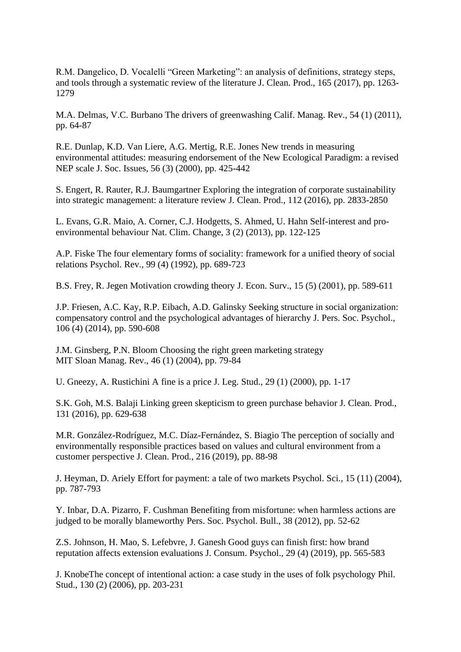R.M. Dangelico, D. Vocalelli "Green Marketing": an analysis of definitions, strategy steps, and tools through a systematic review of the literature J. Clean. Prod., 165 (2017), pp. 1263- 1279

M.A. Delmas, V.C. Burbano The drivers of greenwashing Calif. Manag. Rev., 54 (1) (2011), pp. 64-87

R.E. Dunlap, K.D. Van Liere, A.G. Mertig, R.E. Jones New trends in measuring environmental attitudes: measuring endorsement of the New Ecological Paradigm: a revised NEP scale J. Soc. Issues, 56 (3) (2000), pp. 425-442

S. Engert, R. Rauter, R.J. Baumgartner Exploring the integration of corporate sustainability into strategic management: a literature review J. Clean. Prod., 112 (2016), pp. 2833-2850

L. Evans, G.R. Maio, A. Corner, C.J. Hodgetts, S. Ahmed, U. Hahn Self-interest and proenvironmental behaviour Nat. Clim. Change, 3 (2) (2013), pp. 122-125

A.P. Fiske The four elementary forms of sociality: framework for a unified theory of social relations Psychol. Rev., 99 (4) (1992), pp. 689-723

B.S. Frey, R. Jegen Motivation crowding theory J. Econ. Surv., 15 (5) (2001), pp. 589-611

J.P. Friesen, A.C. Kay, R.P. Eibach, A.D. Galinsky Seeking structure in social organization: compensatory control and the psychological advantages of hierarchy J. Pers. Soc. Psychol., 106 (4) (2014), pp. 590-608

J.M. Ginsberg, P.N. Bloom Choosing the right green marketing strategy MIT Sloan Manag. Rev., 46 (1) (2004), pp. 79-84

U. Gneezy, A. Rustichini A fine is a price J. Leg. Stud., 29 (1) (2000), pp. 1-17

S.K. Goh, M.S. Balaji Linking green skepticism to green purchase behavior J. Clean. Prod., 131 (2016), pp. 629-638

M.R. González-Rodríguez, M.C. Díaz-Fernández, S. Biagio The perception of socially and environmentally responsible practices based on values and cultural environment from a customer perspective J. Clean. Prod., 216 (2019), pp. 88-98

J. Heyman, D. Ariely Effort for payment: a tale of two markets Psychol. Sci., 15 (11) (2004), pp. 787-793

Y. Inbar, D.A. Pizarro, F. Cushman Benefiting from misfortune: when harmless actions are judged to be morally blameworthy Pers. Soc. Psychol. Bull., 38 (2012), pp. 52-62

Z.S. Johnson, H. Mao, S. Lefebvre, J. Ganesh Good guys can finish first: how brand reputation affects extension evaluations J. Consum. Psychol., 29 (4) (2019), pp. 565-583

J. KnobeThe concept of intentional action: a case study in the uses of folk psychology Phil. Stud., 130 (2) (2006), pp. 203-231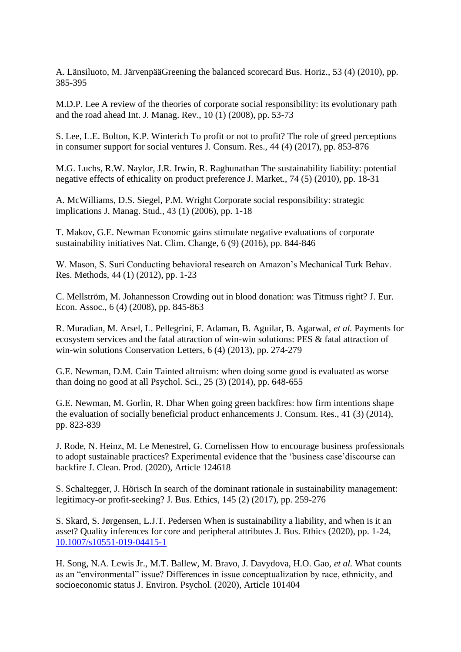A. Länsiluoto, M. JärvenpääGreening the balanced scorecard Bus. Horiz., 53 (4) (2010), pp. 385-395

M.D.P. Lee A review of the theories of corporate social responsibility: its evolutionary path and the road ahead Int. J. Manag. Rev., 10 (1) (2008), pp. 53-73

S. Lee, L.E. Bolton, K.P. Winterich To profit or not to profit? The role of greed perceptions in consumer support for social ventures J. Consum. Res., 44 (4) (2017), pp. 853-876

M.G. Luchs, R.W. Naylor, J.R. Irwin, R. Raghunathan The sustainability liability: potential negative effects of ethicality on product preference J. Market., 74 (5) (2010), pp. 18-31

A. McWilliams, D.S. Siegel, P.M. Wright Corporate social responsibility: strategic implications J. Manag. Stud., 43 (1) (2006), pp. 1-18

T. Makov, G.E. Newman Economic gains stimulate negative evaluations of corporate sustainability initiatives Nat. Clim. Change, 6 (9) (2016), pp. 844-846

W. Mason, S. Suri Conducting behavioral research on Amazon's Mechanical Turk Behav. Res. Methods, 44 (1) (2012), pp. 1-23

C. Mellström, M. Johannesson Crowding out in blood donation: was Titmuss right? J. Eur. Econ. Assoc., 6 (4) (2008), pp. 845-863

R. Muradian, M. Arsel, L. Pellegrini, F. Adaman, B. Aguilar, B. Agarwal, *et al.* Payments for ecosystem services and the fatal attraction of win-win solutions: PES & fatal attraction of win-win solutions Conservation Letters, 6 (4) (2013), pp. 274-279

G.E. Newman, D.M. Cain Tainted altruism: when doing some good is evaluated as worse than doing no good at all Psychol. Sci., 25 (3) (2014), pp. 648-655

G.E. Newman, M. Gorlin, R. Dhar When going green backfires: how firm intentions shape the evaluation of socially beneficial product enhancements J. Consum. Res., 41 (3) (2014), pp. 823-839

J. Rode, N. Heinz, M. Le Menestrel, G. Cornelissen How to encourage business professionals to adopt sustainable practices? Experimental evidence that the 'business case'discourse can backfire J. Clean. Prod. (2020), Article 124618

S. Schaltegger, J. Hörisch In search of the dominant rationale in sustainability management: legitimacy-or profit-seeking? J. Bus. Ethics, 145 (2) (2017), pp. 259-276

S. Skard, S. Jørgensen, L.J.T. Pedersen When is sustainability a liability, and when is it an asset? Quality inferences for core and peripheral attributes J. Bus. Ethics (2020), pp. 1-24, [10.1007/s10551-019-04415-1](https://doi.org/10.1007/s10551-019-04415-1)

H. Song, N.A. Lewis Jr., M.T. Ballew, M. Bravo, J. Davydova, H.O. Gao, *et al.* What counts as an "environmental" issue? Differences in issue conceptualization by race, ethnicity, and socioeconomic status J. Environ. Psychol. (2020), Article 101404